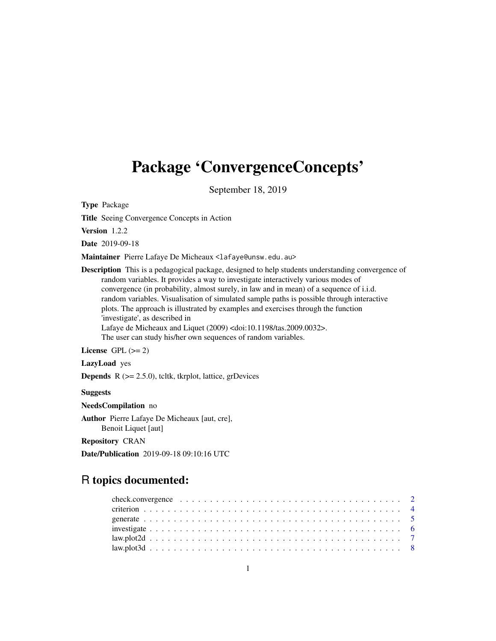# Package 'ConvergenceConcepts'

September 18, 2019

Type Package

Title Seeing Convergence Concepts in Action

Version 1.2.2

Date 2019-09-18

Maintainer Pierre Lafaye De Micheaux <lafaye@unsw.edu.au>

Description This is a pedagogical package, designed to help students understanding convergence of random variables. It provides a way to investigate interactively various modes of convergence (in probability, almost surely, in law and in mean) of a sequence of i.i.d. random variables. Visualisation of simulated sample paths is possible through interactive plots. The approach is illustrated by examples and exercises through the function 'investigate', as described in Lafaye de Micheaux and Liquet (2009) <doi:10.1198/tas.2009.0032>. The user can study his/her own sequences of random variables.

License GPL  $(>= 2)$ 

LazyLoad yes

**Depends**  $R$  ( $>= 2.5.0$ ), tcltk, tkrplot, lattice, grDevices

**Suggests** 

NeedsCompilation no

Author Pierre Lafaye De Micheaux [aut, cre], Benoit Liquet [aut]

Repository CRAN

Date/Publication 2019-09-18 09:10:16 UTC

# R topics documented: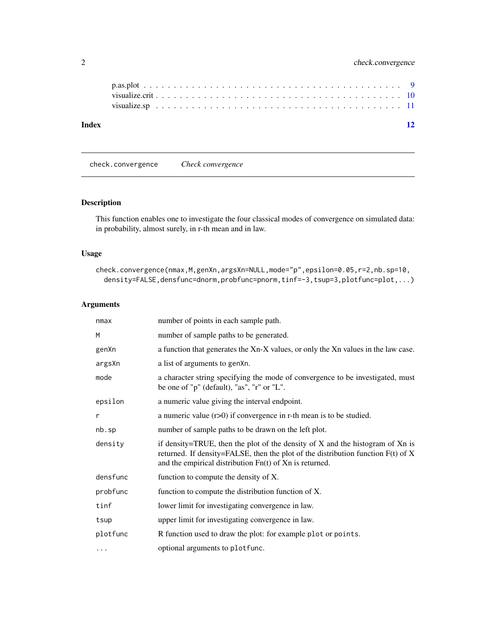<span id="page-1-0"></span>

| Index |  |  |  |  |  |  |  |  |  |  |  |  |  |  |  |  |  |  |  |
|-------|--|--|--|--|--|--|--|--|--|--|--|--|--|--|--|--|--|--|--|
|       |  |  |  |  |  |  |  |  |  |  |  |  |  |  |  |  |  |  |  |
|       |  |  |  |  |  |  |  |  |  |  |  |  |  |  |  |  |  |  |  |
|       |  |  |  |  |  |  |  |  |  |  |  |  |  |  |  |  |  |  |  |

<span id="page-1-1"></span>check.convergence *Check convergence*

# Description

This function enables one to investigate the four classical modes of convergence on simulated data: in probability, almost surely, in r-th mean and in law.

# Usage

```
check.convergence(nmax,M,genXn,argsXn=NULL,mode="p",epsilon=0.05,r=2,nb.sp=10,
  density=FALSE,densfunc=dnorm,probfunc=pnorm,tinf=-3,tsup=3,plotfunc=plot,...)
```
# Arguments

| nmax     | number of points in each sample path.                                                                                                                                                                                                  |
|----------|----------------------------------------------------------------------------------------------------------------------------------------------------------------------------------------------------------------------------------------|
| M        | number of sample paths to be generated.                                                                                                                                                                                                |
| genXn    | a function that generates the Xn-X values, or only the Xn values in the law case.                                                                                                                                                      |
| argsXn   | a list of arguments to genXn.                                                                                                                                                                                                          |
| mode     | a character string specifying the mode of convergence to be investigated, must<br>be one of "p" (default), "as", "r" or "L".                                                                                                           |
| epsilon  | a numeric value giving the interval endpoint.                                                                                                                                                                                          |
| r        | a numeric value $(r>0)$ if convergence in r-th mean is to be studied.                                                                                                                                                                  |
| nb.sp    | number of sample paths to be drawn on the left plot.                                                                                                                                                                                   |
| density  | if density=TRUE, then the plot of the density of $X$ and the histogram of $Xn$ is<br>returned. If density=FALSE, then the plot of the distribution function $F(t)$ of X<br>and the empirical distribution $Fn(t)$ of $Xn$ is returned. |
| densfunc | function to compute the density of X.                                                                                                                                                                                                  |
| probfunc | function to compute the distribution function of X.                                                                                                                                                                                    |
| tinf     | lower limit for investigating convergence in law.                                                                                                                                                                                      |
| tsup     | upper limit for investigating convergence in law.                                                                                                                                                                                      |
| plotfunc | R function used to draw the plot: for example plot or points.                                                                                                                                                                          |
| $\cdots$ | optional arguments to plotfunc.                                                                                                                                                                                                        |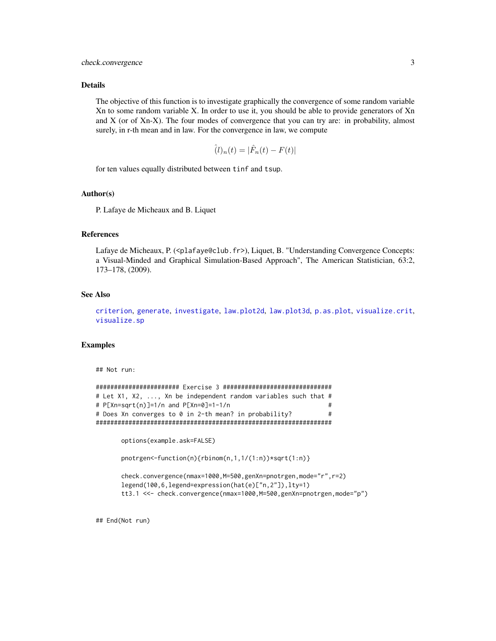# <span id="page-2-0"></span>check.convergence 3

#### Details

The objective of this function is to investigate graphically the convergence of some random variable Xn to some random variable X. In order to use it, you should be able to provide generators of Xn and X (or of Xn-X). The four modes of convergence that you can try are: in probability, almost surely, in r-th mean and in law. For the convergence in law, we compute

$$
\hat{I}(l)_n(t) = |\hat{F}_n(t) - F(t)|
$$

for ten values equally distributed between tinf and tsup.

#### Author(s)

P. Lafaye de Micheaux and B. Liquet

#### References

Lafaye de Micheaux, P. (<plafaye@club.fr>), Liquet, B. "Understanding Convergence Concepts: a Visual-Minded and Graphical Simulation-Based Approach", The American Statistician, 63:2, 173–178, (2009).

# See Also

[criterion](#page-3-1), [generate](#page-4-1), [investigate](#page-5-1), [law.plot2d](#page-6-1), [law.plot3d](#page-7-1), [p.as.plot](#page-8-1), [visualize.crit](#page-9-1), [visualize.sp](#page-10-1)

# Examples

## Not run:

```
####################### Exercise 3 ##############################
# Let X1, X2, ..., Xn be independent random variables such that #
# P[Xn=sqrt(n)]=1/n and P[Xn=0]=1-1/n #
# Does Xn converges to 0 in 2-th mean? in probability? \qquad \qquad \, \##################################################################
```

```
options(example.ask=FALSE)
pnotrgen<-function(n){rbinom(n,1,1/(1:n))*sqrt(1:n)}
check.convergence(nmax=1000,M=500,genXn=pnotrgen,mode="r",r=2)
legend(100,6,legend=expression(hat(e)["n,2"]),lty=1)
tt3.1 <<- check.convergence(nmax=1000,M=500,genXn=pnotrgen,mode="p")
```
## End(Not run)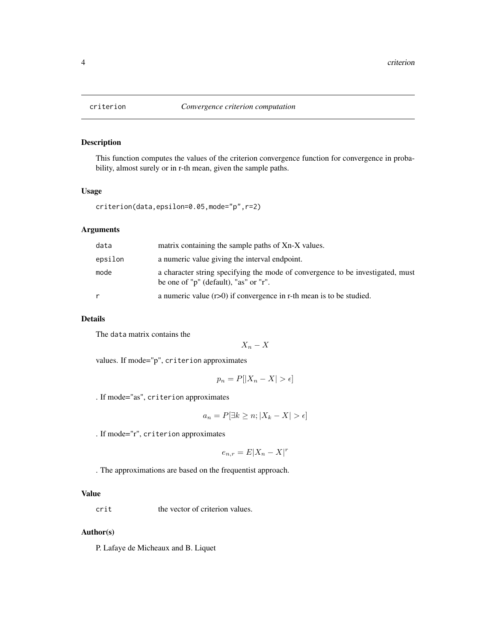<span id="page-3-1"></span><span id="page-3-0"></span>

This function computes the values of the criterion convergence function for convergence in probability, almost surely or in r-th mean, given the sample paths.

# Usage

```
criterion(data,epsilon=0.05,mode="p",r=2)
```
# Arguments

| data    | matrix containing the sample paths of Xn-X values.                                                                      |
|---------|-------------------------------------------------------------------------------------------------------------------------|
| epsilon | a numeric value giving the interval endpoint.                                                                           |
| mode    | a character string specifying the mode of convergence to be investigated, must<br>be one of "p" (default), "as" or "r". |
|         | a numeric value $(r>0)$ if convergence in r-th mean is to be studied.                                                   |

# Details

The data matrix contains the

 $X_n - X$ 

values. If mode="p", criterion approximates

$$
p_n = P[|X_n - X| > \epsilon]
$$

. If mode="as", criterion approximates

$$
a_n = P[\exists k \ge n; |X_k - X| > \epsilon]
$$

. If mode="r", criterion approximates

$$
e_{n,r} = E|X_n - X|^r
$$

. The approximations are based on the frequentist approach.

# Value

crit the vector of criterion values.

# Author(s)

P. Lafaye de Micheaux and B. Liquet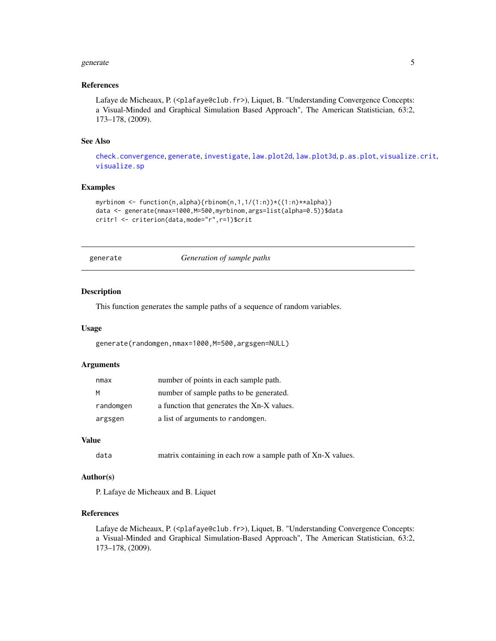#### <span id="page-4-0"></span>generate 5 and 5 and 5 and 5 and 5 and 5 and 5 and 5 and 5 and 5 and 5 and 5 and 5 and 5 and 5 and 5 and 5 and 5 and 5 and 5 and 5 and 5 and 5 and 5 and 5 and 5 and 5 and 5 and 5 and 5 and 5 and 5 and 5 and 5 and 5 and 5 a

#### References

Lafaye de Micheaux, P. (<plafaye@club.fr>), Liquet, B. "Understanding Convergence Concepts: a Visual-Minded and Graphical Simulation Based Approach", The American Statistician, 63:2, 173–178, (2009).

#### See Also

[check.convergence](#page-1-1), [generate](#page-4-1), [investigate](#page-5-1), [law.plot2d](#page-6-1), [law.plot3d](#page-7-1), [p.as.plot](#page-8-1), [visualize.crit](#page-9-1), [visualize.sp](#page-10-1)

#### Examples

```
myrbinom <- function(n,alpha){rbinom(n,1,1/(1:n))*((1:n)**alpha)}
data <- generate(nmax=1000,M=500,myrbinom,args=list(alpha=0.5))$data
critr1 <- criterion(data,mode="r",r=1)$crit
```
generate *Generation of sample paths*

#### Description

This function generates the sample paths of a sequence of random variables.

#### Usage

```
generate(randomgen,nmax=1000,M=500,argsgen=NULL)
```
# Arguments

| nmax      | number of points in each sample path.      |
|-----------|--------------------------------------------|
| м         | number of sample paths to be generated.    |
| randomgen | a function that generates the Xn-X values. |
| argsgen   | a list of arguments to randomgen.          |

# Value

data matrix containing in each row a sample path of Xn-X values.

# Author(s)

P. Lafaye de Micheaux and B. Liquet

# References

Lafaye de Micheaux, P. (<plafaye@club.fr>), Liquet, B. "Understanding Convergence Concepts: a Visual-Minded and Graphical Simulation-Based Approach", The American Statistician, 63:2, 173–178, (2009).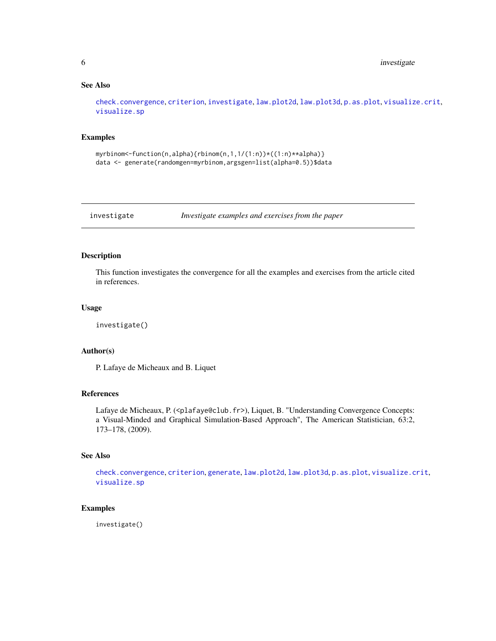# <span id="page-5-0"></span>See Also

[check.convergence](#page-1-1), [criterion](#page-3-1), [investigate](#page-5-1), [law.plot2d](#page-6-1), [law.plot3d](#page-7-1), [p.as.plot](#page-8-1), [visualize.crit](#page-9-1), [visualize.sp](#page-10-1)

# Examples

```
myrbinom < -function(n,alpha){rbinom(n,1,1/(1:n))}*(1:n)**alpha)data <- generate(randomgen=myrbinom,argsgen=list(alpha=0.5))$data
```
<span id="page-5-1"></span>investigate *Investigate examples and exercises from the paper*

# Description

This function investigates the convergence for all the examples and exercises from the article cited in references.

# Usage

investigate()

#### Author(s)

P. Lafaye de Micheaux and B. Liquet

# References

Lafaye de Micheaux, P. (<plafaye@club.fr>), Liquet, B. "Understanding Convergence Concepts: a Visual-Minded and Graphical Simulation-Based Approach", The American Statistician, 63:2, 173–178, (2009).

# See Also

[check.convergence](#page-1-1), [criterion](#page-3-1), [generate](#page-4-1), [law.plot2d](#page-6-1), [law.plot3d](#page-7-1), [p.as.plot](#page-8-1), [visualize.crit](#page-9-1), [visualize.sp](#page-10-1)

# Examples

investigate()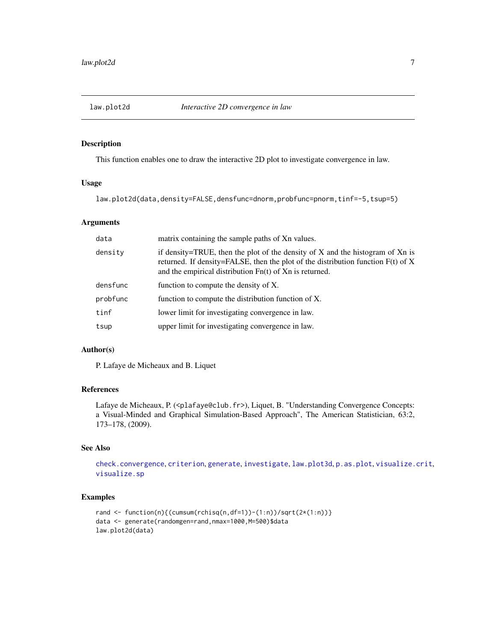<span id="page-6-1"></span><span id="page-6-0"></span>

This function enables one to draw the interactive 2D plot to investigate convergence in law.

#### Usage

law.plot2d(data,density=FALSE,densfunc=dnorm,probfunc=pnorm,tinf=-5,tsup=5)

# Arguments

| data     | matrix containing the sample paths of Xn values.                                                                                                                                                                                       |
|----------|----------------------------------------------------------------------------------------------------------------------------------------------------------------------------------------------------------------------------------------|
| density  | if density=TRUE, then the plot of the density of $X$ and the histogram of $Xn$ is<br>returned. If density=FALSE, then the plot of the distribution function $F(t)$ of X<br>and the empirical distribution $Fn(t)$ of $Xn$ is returned. |
| densfunc | function to compute the density of X.                                                                                                                                                                                                  |
| probfunc | function to compute the distribution function of X.                                                                                                                                                                                    |
| tinf     | lower limit for investigating convergence in law.                                                                                                                                                                                      |
| tsup     | upper limit for investigating convergence in law.                                                                                                                                                                                      |

# Author(s)

P. Lafaye de Micheaux and B. Liquet

# References

Lafaye de Micheaux, P. (<plafaye@club.fr>), Liquet, B. "Understanding Convergence Concepts: a Visual-Minded and Graphical Simulation-Based Approach", The American Statistician, 63:2, 173–178, (2009).

# See Also

```
check.convergence, criterion, generate, investigate, law.plot3d, p.as.plot, visualize.crit,
visualize.sp
```

```
rand <- function(n){(cumsum(rchisq(n,df=1))-(1:n))/sqrt(2*(1:n))}
data <- generate(randomgen=rand,nmax=1000,M=500)$data
law.plot2d(data)
```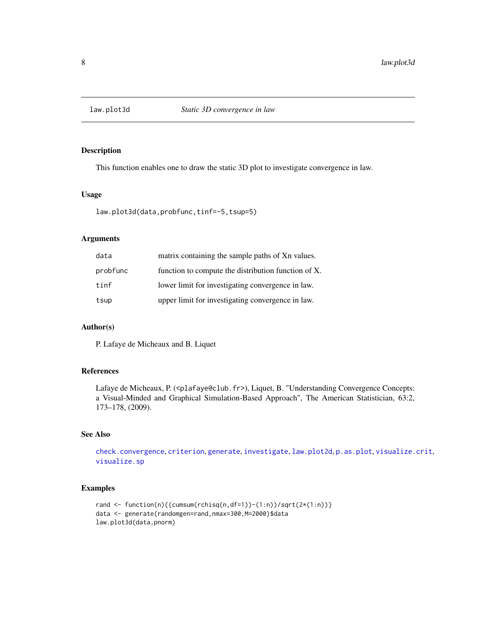<span id="page-7-1"></span><span id="page-7-0"></span>

This function enables one to draw the static 3D plot to investigate convergence in law.

#### Usage

law.plot3d(data,probfunc,tinf=-5,tsup=5)

# Arguments

| data     | matrix containing the sample paths of Xn values.    |
|----------|-----------------------------------------------------|
| probfunc | function to compute the distribution function of X. |
| tinf     | lower limit for investigating convergence in law.   |
| tsup     | upper limit for investigating convergence in law.   |

#### Author(s)

P. Lafaye de Micheaux and B. Liquet

#### References

Lafaye de Micheaux, P. (<plafaye@club.fr>), Liquet, B. "Understanding Convergence Concepts: a Visual-Minded and Graphical Simulation-Based Approach", The American Statistician, 63:2, 173–178, (2009).

# See Also

[check.convergence](#page-1-1), [criterion](#page-3-1), [generate](#page-4-1), [investigate](#page-5-1), [law.plot2d](#page-6-1), [p.as.plot](#page-8-1), [visualize.crit](#page-9-1), [visualize.sp](#page-10-1)

```
rand \leq function(n){(cumsum(rchisq(n,df=1))-(1:n))/sqrt(2*(1:n))}
data <- generate(randomgen=rand,nmax=300,M=2000)$data
law.plot3d(data,pnorm)
```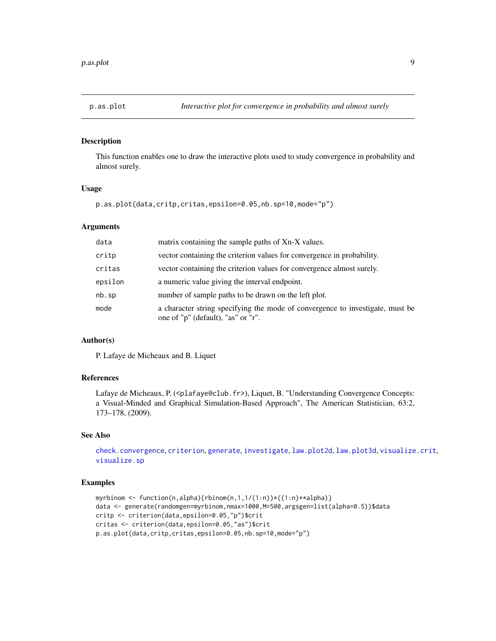<span id="page-8-1"></span><span id="page-8-0"></span>

This function enables one to draw the interactive plots used to study convergence in probability and almost surely.

#### Usage

```
p.as.plot(data,critp,critas,epsilon=0.05,nb.sp=10,mode="p")
```
#### **Arguments**

| data    | matrix containing the sample paths of Xn-X values.                                                                  |
|---------|---------------------------------------------------------------------------------------------------------------------|
| critp   | vector containing the criterion values for convergence in probability.                                              |
| critas  | vector containing the criterion values for convergence almost surely.                                               |
| epsilon | a numeric value giving the interval endpoint.                                                                       |
| nb.sp   | number of sample paths to be drawn on the left plot.                                                                |
| mode    | a character string specifying the mode of convergence to investigate, must be<br>one of "p" (default), "as" or "r". |

# Author(s)

P. Lafaye de Micheaux and B. Liquet

#### References

Lafaye de Micheaux, P. (<plafaye@club.fr>), Liquet, B. "Understanding Convergence Concepts: a Visual-Minded and Graphical Simulation-Based Approach", The American Statistician, 63:2, 173–178, (2009).

# See Also

[check.convergence](#page-1-1), [criterion](#page-3-1), [generate](#page-4-1), [investigate](#page-5-1), [law.plot2d](#page-6-1), [law.plot3d](#page-7-1), [visualize.crit](#page-9-1), [visualize.sp](#page-10-1)

```
myrbinom <- function(n,alpha){rbinom(n,1,1/(1:n))*((1:n)**alpha)}
data <- generate(randomgen=myrbinom,nmax=1000,M=500,argsgen=list(alpha=0.5))$data
critp <- criterion(data,epsilon=0.05,"p")$crit
critas <- criterion(data,epsilon=0.05,"as")$crit
p.as.plot(data,critp,critas,epsilon=0.05,nb.sp=10,mode="p")
```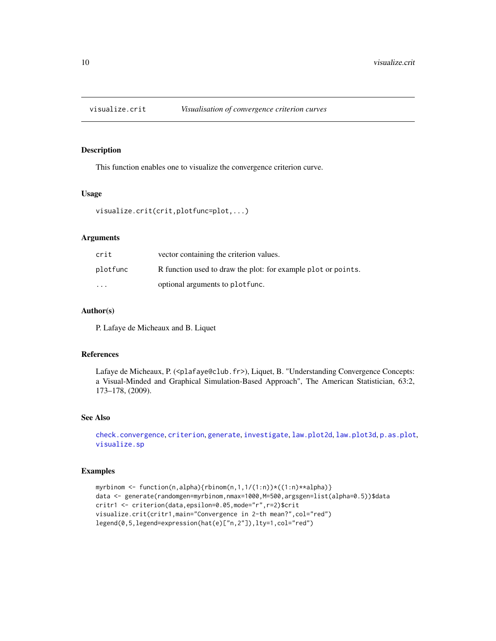<span id="page-9-1"></span><span id="page-9-0"></span>

This function enables one to visualize the convergence criterion curve.

# Usage

```
visualize.crit(crit,plotfunc=plot,...)
```
# Arguments

| crit                    | vector containing the criterion values.                       |
|-------------------------|---------------------------------------------------------------|
| plotfunc                | R function used to draw the plot: for example plot or points. |
| $\cdot$ $\cdot$ $\cdot$ | optional arguments to plot func.                              |

#### Author(s)

P. Lafaye de Micheaux and B. Liquet

#### References

Lafaye de Micheaux, P. (<plafaye@club.fr>), Liquet, B. "Understanding Convergence Concepts: a Visual-Minded and Graphical Simulation-Based Approach", The American Statistician, 63:2, 173–178, (2009).

# See Also

```
check.convergence, criterion, generate, investigate, law.plot2d, law.plot3d, p.as.plot,
visualize.sp
```

```
myrbinom <- function(n,alpha){rbinom(n,1,1/(1:n))*((1:n)**alpha)}
data <- generate(randomgen=myrbinom,nmax=1000,M=500,argsgen=list(alpha=0.5))$data
critr1 <- criterion(data,epsilon=0.05,mode="r",r=2)$crit
visualize.crit(critr1,main="Convergence in 2-th mean?",col="red")
legend(0,5,legend=expression(hat(e)["n,2"]),lty=1,col="red")
```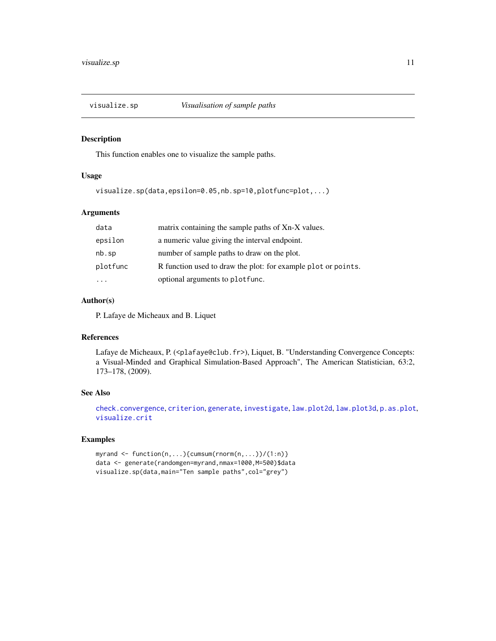<span id="page-10-1"></span><span id="page-10-0"></span>

This function enables one to visualize the sample paths.

#### Usage

```
visualize.sp(data,epsilon=0.05,nb.sp=10,plotfunc=plot,...)
```
# Arguments

| data     | matrix containing the sample paths of Xn-X values.            |
|----------|---------------------------------------------------------------|
| epsilon  | a numeric value giving the interval endpoint.                 |
| nb.sp    | number of sample paths to draw on the plot.                   |
| plotfunc | R function used to draw the plot: for example plot or points. |
|          | optional arguments to plotfunc.                               |

# Author(s)

P. Lafaye de Micheaux and B. Liquet

#### References

Lafaye de Micheaux, P. (<plafaye@club.fr>), Liquet, B. "Understanding Convergence Concepts: a Visual-Minded and Graphical Simulation-Based Approach", The American Statistician, 63:2, 173–178, (2009).

#### See Also

[check.convergence](#page-1-1), [criterion](#page-3-1), [generate](#page-4-1), [investigate](#page-5-1), [law.plot2d](#page-6-1), [law.plot3d](#page-7-1), [p.as.plot](#page-8-1), [visualize.crit](#page-9-1)

```
myrand <- function(n,...){cumsum(rnorm(n,...))/(1:n)}
data <- generate(randomgen=myrand,nmax=1000,M=500)$data
visualize.sp(data,main="Ten sample paths",col="grey")
```